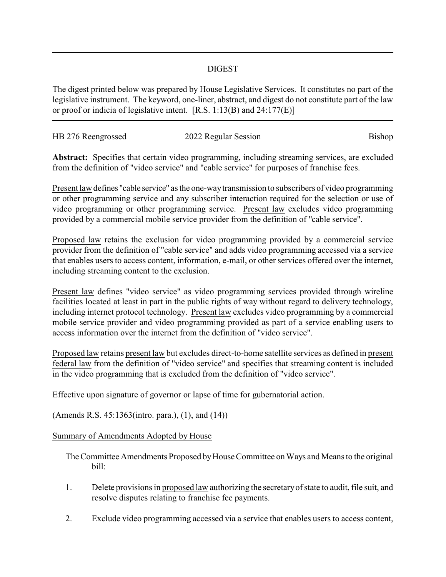## DIGEST

The digest printed below was prepared by House Legislative Services. It constitutes no part of the legislative instrument. The keyword, one-liner, abstract, and digest do not constitute part of the law or proof or indicia of legislative intent. [R.S. 1:13(B) and 24:177(E)]

| HB 276 Reengrossed | 2022 Regular Session | Bishop |
|--------------------|----------------------|--------|
|                    |                      |        |

**Abstract:** Specifies that certain video programming, including streaming services, are excluded from the definition of "video service" and "cable service" for purposes of franchise fees.

Present law defines "cable service" as the one-waytransmission to subscribers of video programming or other programming service and any subscriber interaction required for the selection or use of video programming or other programming service. Present law excludes video programming provided by a commercial mobile service provider from the definition of "cable service".

Proposed law retains the exclusion for video programming provided by a commercial service provider from the definition of "cable service" and adds video programming accessed via a service that enables users to access content, information, e-mail, or other services offered over the internet, including streaming content to the exclusion.

Present law defines "video service" as video programming services provided through wireline facilities located at least in part in the public rights of way without regard to delivery technology, including internet protocol technology. Present law excludes video programming by a commercial mobile service provider and video programming provided as part of a service enabling users to access information over the internet from the definition of "video service".

Proposed law retains present law but excludes direct-to-home satellite services as defined in present federal law from the definition of "video service" and specifies that streaming content is included in the video programming that is excluded from the definition of "video service".

Effective upon signature of governor or lapse of time for gubernatorial action.

(Amends R.S. 45:1363(intro. para.), (1), and (14))

## Summary of Amendments Adopted by House

The Committee Amendments Proposed by House Committee on Ways and Means to the original bill:

- 1. Delete provisions in proposed law authorizing the secretaryof state to audit, file suit, and resolve disputes relating to franchise fee payments.
- 2. Exclude video programming accessed via a service that enables users to access content,